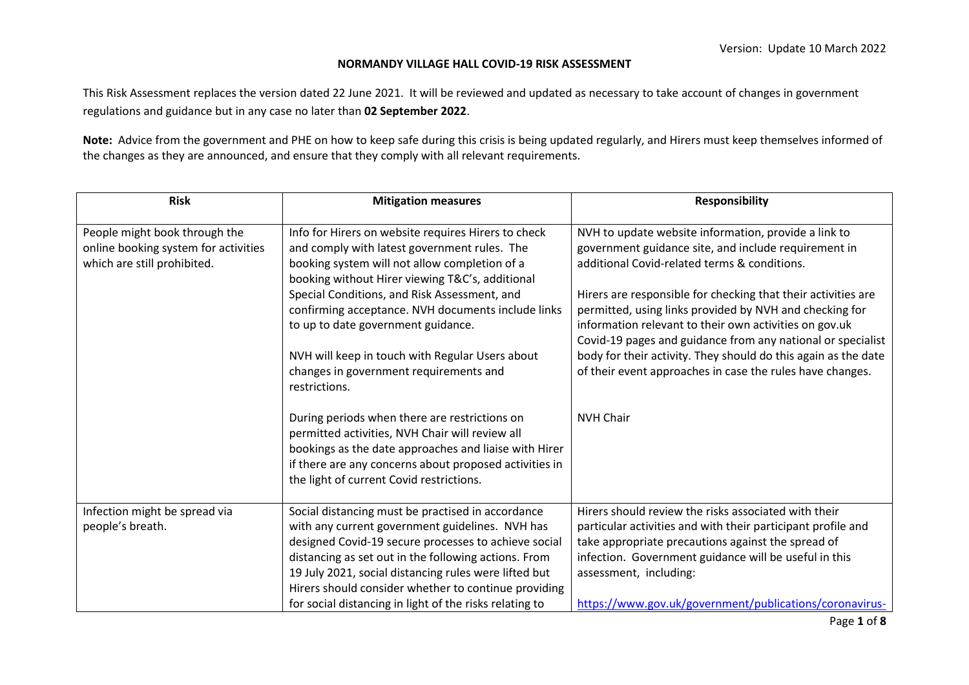## **NORMANDY VILLAGE HALL COVID-19 RISK ASSESSMENT**

This Risk Assessment replaces the version dated 22 June 2021. It will be reviewed and updated as necessary to take account of changes in government regulations and guidance but in any case no later than **02 September 2022**.

**Note:** Advice from the government and PHE on how to keep safe during this crisis is being updated regularly, and Hirers must keep themselves informed of the changes as they are announced, and ensure that they comply with all relevant requirements.

| <b>Risk</b>                                                                                          | <b>Mitigation measures</b>                                                                                                                                                                                                                                                                                                                                                                                                                                        | <b>Responsibility</b>                                                                                                                                                                                                                                                                                                                                                                                                                                                                                                                            |
|------------------------------------------------------------------------------------------------------|-------------------------------------------------------------------------------------------------------------------------------------------------------------------------------------------------------------------------------------------------------------------------------------------------------------------------------------------------------------------------------------------------------------------------------------------------------------------|--------------------------------------------------------------------------------------------------------------------------------------------------------------------------------------------------------------------------------------------------------------------------------------------------------------------------------------------------------------------------------------------------------------------------------------------------------------------------------------------------------------------------------------------------|
| People might book through the<br>online booking system for activities<br>which are still prohibited. | Info for Hirers on website requires Hirers to check<br>and comply with latest government rules. The<br>booking system will not allow completion of a<br>booking without Hirer viewing T&C's, additional<br>Special Conditions, and Risk Assessment, and<br>confirming acceptance. NVH documents include links<br>to up to date government guidance.<br>NVH will keep in touch with Regular Users about<br>changes in government requirements and<br>restrictions. | NVH to update website information, provide a link to<br>government guidance site, and include requirement in<br>additional Covid-related terms & conditions.<br>Hirers are responsible for checking that their activities are<br>permitted, using links provided by NVH and checking for<br>information relevant to their own activities on gov.uk<br>Covid-19 pages and guidance from any national or specialist<br>body for their activity. They should do this again as the date<br>of their event approaches in case the rules have changes. |
|                                                                                                      | During periods when there are restrictions on<br>permitted activities, NVH Chair will review all<br>bookings as the date approaches and liaise with Hirer<br>if there are any concerns about proposed activities in<br>the light of current Covid restrictions.                                                                                                                                                                                                   | <b>NVH Chair</b>                                                                                                                                                                                                                                                                                                                                                                                                                                                                                                                                 |
| Infection might be spread via<br>people's breath.                                                    | Social distancing must be practised in accordance<br>with any current government guidelines. NVH has<br>designed Covid-19 secure processes to achieve social<br>distancing as set out in the following actions. From<br>19 July 2021, social distancing rules were lifted but<br>Hirers should consider whether to continue providing<br>for social distancing in light of the risks relating to                                                                  | Hirers should review the risks associated with their<br>particular activities and with their participant profile and<br>take appropriate precautions against the spread of<br>infection. Government guidance will be useful in this<br>assessment, including:<br>https://www.gov.uk/government/publications/coronavirus-                                                                                                                                                                                                                         |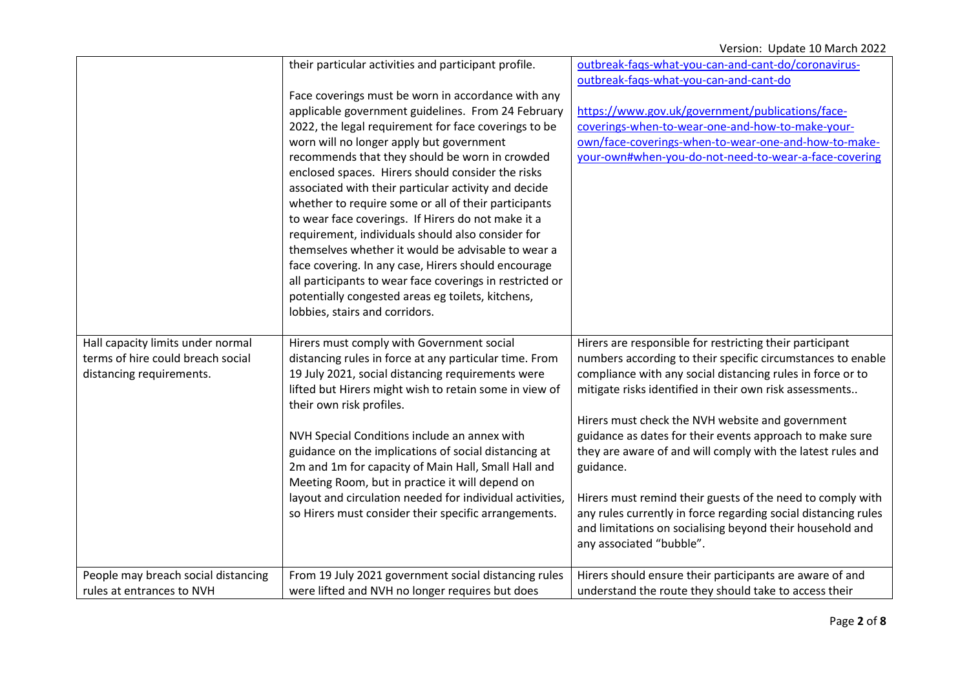|                                     | their particular activities and participant profile.     | outbreak-faqs-what-you-can-and-cant-do/coronavirus-            |
|-------------------------------------|----------------------------------------------------------|----------------------------------------------------------------|
|                                     |                                                          | outbreak-fags-what-you-can-and-cant-do                         |
|                                     | Face coverings must be worn in accordance with any       |                                                                |
|                                     | applicable government guidelines. From 24 February       | https://www.gov.uk/government/publications/face-               |
|                                     | 2022, the legal requirement for face coverings to be     | coverings-when-to-wear-one-and-how-to-make-your-               |
|                                     | worn will no longer apply but government                 | own/face-coverings-when-to-wear-one-and-how-to-make-           |
|                                     | recommends that they should be worn in crowded           | your-own#when-you-do-not-need-to-wear-a-face-covering          |
|                                     | enclosed spaces. Hirers should consider the risks        |                                                                |
|                                     | associated with their particular activity and decide     |                                                                |
|                                     | whether to require some or all of their participants     |                                                                |
|                                     | to wear face coverings. If Hirers do not make it a       |                                                                |
|                                     | requirement, individuals should also consider for        |                                                                |
|                                     | themselves whether it would be advisable to wear a       |                                                                |
|                                     | face covering. In any case, Hirers should encourage      |                                                                |
|                                     | all participants to wear face coverings in restricted or |                                                                |
|                                     | potentially congested areas eg toilets, kitchens,        |                                                                |
|                                     | lobbies, stairs and corridors.                           |                                                                |
| Hall capacity limits under normal   | Hirers must comply with Government social                | Hirers are responsible for restricting their participant       |
| terms of hire could breach social   | distancing rules in force at any particular time. From   | numbers according to their specific circumstances to enable    |
| distancing requirements.            | 19 July 2021, social distancing requirements were        | compliance with any social distancing rules in force or to     |
|                                     | lifted but Hirers might wish to retain some in view of   | mitigate risks identified in their own risk assessments        |
|                                     | their own risk profiles.                                 |                                                                |
|                                     |                                                          | Hirers must check the NVH website and government               |
|                                     | NVH Special Conditions include an annex with             | guidance as dates for their events approach to make sure       |
|                                     | guidance on the implications of social distancing at     | they are aware of and will comply with the latest rules and    |
|                                     | 2m and 1m for capacity of Main Hall, Small Hall and      | guidance.                                                      |
|                                     | Meeting Room, but in practice it will depend on          |                                                                |
|                                     | layout and circulation needed for individual activities, | Hirers must remind their guests of the need to comply with     |
|                                     | so Hirers must consider their specific arrangements.     | any rules currently in force regarding social distancing rules |
|                                     |                                                          | and limitations on socialising beyond their household and      |
|                                     |                                                          | any associated "bubble".                                       |
| People may breach social distancing | From 19 July 2021 government social distancing rules     | Hirers should ensure their participants are aware of and       |
| rules at entrances to NVH           | were lifted and NVH no longer requires but does          | understand the route they should take to access their          |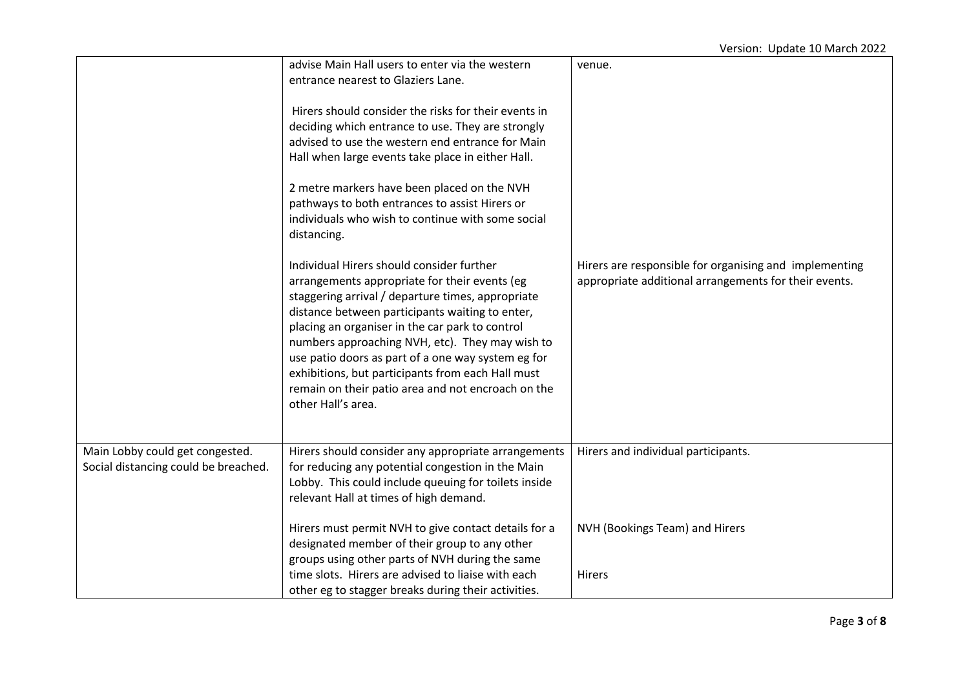|                                                                         | advise Main Hall users to enter via the western<br>entrance nearest to Glaziers Lane.<br>Hirers should consider the risks for their events in<br>deciding which entrance to use. They are strongly<br>advised to use the western end entrance for Main<br>Hall when large events take place in either Hall.<br>2 metre markers have been placed on the NVH<br>pathways to both entrances to assist Hirers or<br>individuals who wish to continue with some social<br>distancing.                | venue.                                                                                                          |
|-------------------------------------------------------------------------|-------------------------------------------------------------------------------------------------------------------------------------------------------------------------------------------------------------------------------------------------------------------------------------------------------------------------------------------------------------------------------------------------------------------------------------------------------------------------------------------------|-----------------------------------------------------------------------------------------------------------------|
|                                                                         | Individual Hirers should consider further<br>arrangements appropriate for their events (eg<br>staggering arrival / departure times, appropriate<br>distance between participants waiting to enter,<br>placing an organiser in the car park to control<br>numbers approaching NVH, etc). They may wish to<br>use patio doors as part of a one way system eg for<br>exhibitions, but participants from each Hall must<br>remain on their patio area and not encroach on the<br>other Hall's area. | Hirers are responsible for organising and implementing<br>appropriate additional arrangements for their events. |
| Main Lobby could get congested.<br>Social distancing could be breached. | Hirers should consider any appropriate arrangements<br>for reducing any potential congestion in the Main<br>Lobby. This could include queuing for toilets inside<br>relevant Hall at times of high demand.                                                                                                                                                                                                                                                                                      | Hirers and individual participants.                                                                             |
|                                                                         | Hirers must permit NVH to give contact details for a<br>designated member of their group to any other<br>groups using other parts of NVH during the same                                                                                                                                                                                                                                                                                                                                        | NVH (Bookings Team) and Hirers                                                                                  |
|                                                                         | time slots. Hirers are advised to liaise with each<br>other eg to stagger breaks during their activities.                                                                                                                                                                                                                                                                                                                                                                                       | <b>Hirers</b>                                                                                                   |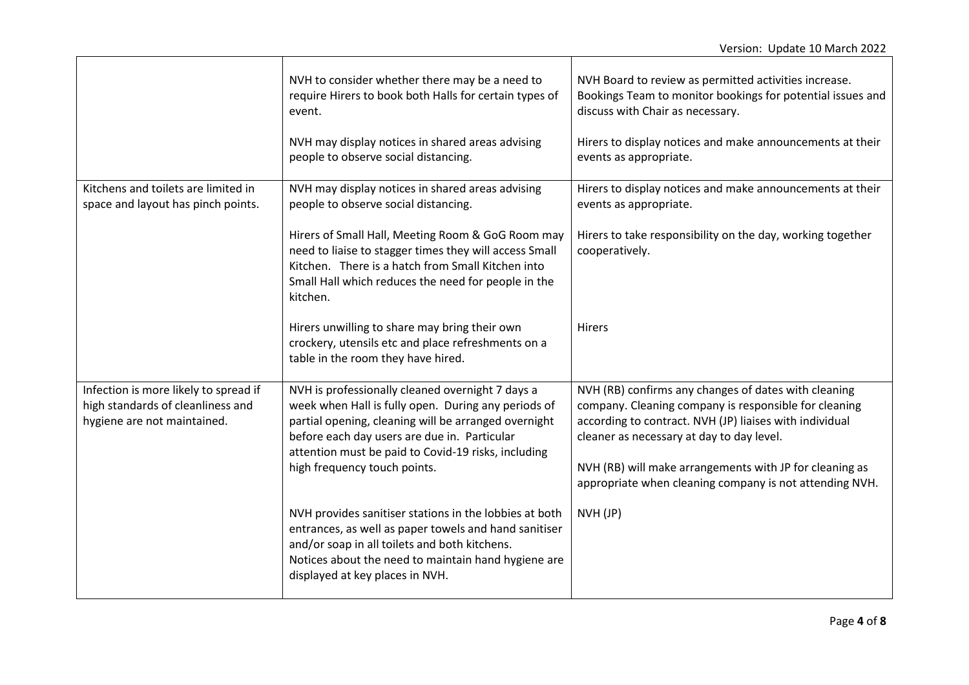|                                                                                                           | NVH to consider whether there may be a need to<br>require Hirers to book both Halls for certain types of<br>event.<br>NVH may display notices in shared areas advising<br>people to observe social distancing.                                                                                         | NVH Board to review as permitted activities increase.<br>Bookings Team to monitor bookings for potential issues and<br>discuss with Chair as necessary.<br>Hirers to display notices and make announcements at their<br>events as appropriate.                                                                                              |
|-----------------------------------------------------------------------------------------------------------|--------------------------------------------------------------------------------------------------------------------------------------------------------------------------------------------------------------------------------------------------------------------------------------------------------|---------------------------------------------------------------------------------------------------------------------------------------------------------------------------------------------------------------------------------------------------------------------------------------------------------------------------------------------|
| Kitchens and toilets are limited in<br>space and layout has pinch points.                                 | NVH may display notices in shared areas advising<br>people to observe social distancing.                                                                                                                                                                                                               | Hirers to display notices and make announcements at their<br>events as appropriate.                                                                                                                                                                                                                                                         |
|                                                                                                           | Hirers of Small Hall, Meeting Room & GoG Room may<br>need to liaise to stagger times they will access Small<br>Kitchen. There is a hatch from Small Kitchen into<br>Small Hall which reduces the need for people in the<br>kitchen.                                                                    | Hirers to take responsibility on the day, working together<br>cooperatively.                                                                                                                                                                                                                                                                |
|                                                                                                           | Hirers unwilling to share may bring their own<br>crockery, utensils etc and place refreshments on a<br>table in the room they have hired.                                                                                                                                                              | <b>Hirers</b>                                                                                                                                                                                                                                                                                                                               |
| Infection is more likely to spread if<br>high standards of cleanliness and<br>hygiene are not maintained. | NVH is professionally cleaned overnight 7 days a<br>week when Hall is fully open. During any periods of<br>partial opening, cleaning will be arranged overnight<br>before each day users are due in. Particular<br>attention must be paid to Covid-19 risks, including<br>high frequency touch points. | NVH (RB) confirms any changes of dates with cleaning<br>company. Cleaning company is responsible for cleaning<br>according to contract. NVH (JP) liaises with individual<br>cleaner as necessary at day to day level.<br>NVH (RB) will make arrangements with JP for cleaning as<br>appropriate when cleaning company is not attending NVH. |
|                                                                                                           | NVH provides sanitiser stations in the lobbies at both<br>entrances, as well as paper towels and hand sanitiser<br>and/or soap in all toilets and both kitchens.<br>Notices about the need to maintain hand hygiene are<br>displayed at key places in NVH.                                             | NVH (JP)                                                                                                                                                                                                                                                                                                                                    |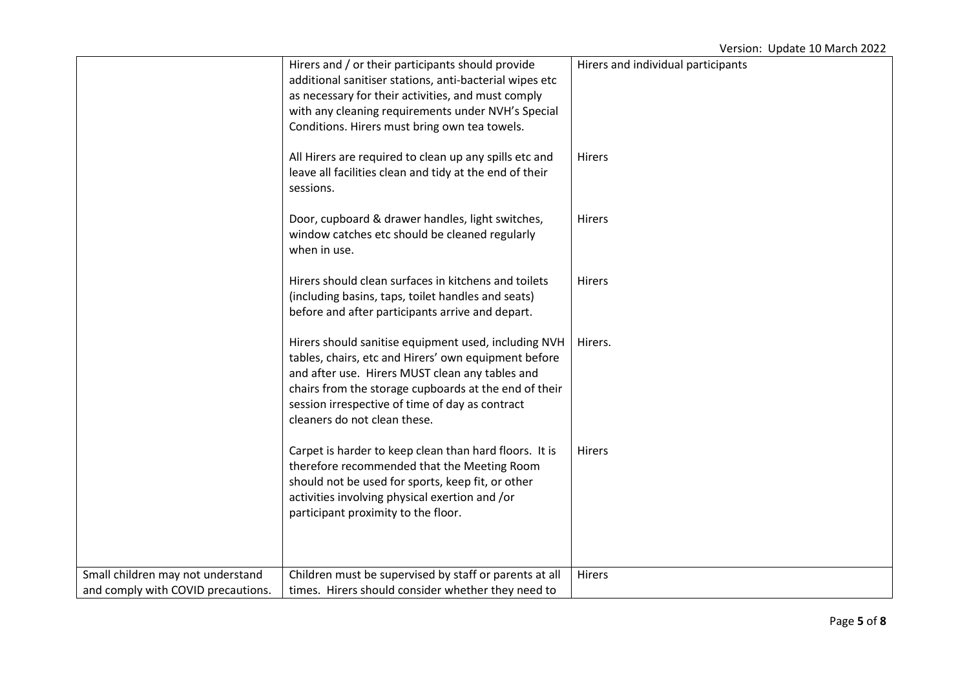## Version: Update 10 March 2022

|                                    | Hirers and / or their participants should provide                                     | Hirers and individual participants |
|------------------------------------|---------------------------------------------------------------------------------------|------------------------------------|
|                                    | additional sanitiser stations, anti-bacterial wipes etc                               |                                    |
|                                    | as necessary for their activities, and must comply                                    |                                    |
|                                    | with any cleaning requirements under NVH's Special                                    |                                    |
|                                    | Conditions. Hirers must bring own tea towels.                                         |                                    |
|                                    |                                                                                       |                                    |
|                                    | All Hirers are required to clean up any spills etc and                                | <b>Hirers</b>                      |
|                                    | leave all facilities clean and tidy at the end of their                               |                                    |
|                                    | sessions.                                                                             |                                    |
|                                    |                                                                                       |                                    |
|                                    | Door, cupboard & drawer handles, light switches,                                      | Hirers                             |
|                                    | window catches etc should be cleaned regularly                                        |                                    |
|                                    | when in use.                                                                          |                                    |
|                                    |                                                                                       |                                    |
|                                    | Hirers should clean surfaces in kitchens and toilets                                  | Hirers                             |
|                                    | (including basins, taps, toilet handles and seats)                                    |                                    |
|                                    | before and after participants arrive and depart.                                      |                                    |
|                                    |                                                                                       |                                    |
|                                    | Hirers should sanitise equipment used, including NVH                                  | Hirers.                            |
|                                    | tables, chairs, etc and Hirers' own equipment before                                  |                                    |
|                                    | and after use. Hirers MUST clean any tables and                                       |                                    |
|                                    | chairs from the storage cupboards at the end of their                                 |                                    |
|                                    | session irrespective of time of day as contract                                       |                                    |
|                                    | cleaners do not clean these.                                                          |                                    |
|                                    |                                                                                       |                                    |
|                                    | Carpet is harder to keep clean than hard floors. It is                                | Hirers                             |
|                                    | therefore recommended that the Meeting Room                                           |                                    |
|                                    | should not be used for sports, keep fit, or other                                     |                                    |
|                                    | activities involving physical exertion and /or<br>participant proximity to the floor. |                                    |
|                                    |                                                                                       |                                    |
|                                    |                                                                                       |                                    |
|                                    |                                                                                       |                                    |
| Small children may not understand  | Children must be supervised by staff or parents at all                                | Hirers                             |
| and comply with COVID precautions. | times. Hirers should consider whether they need to                                    |                                    |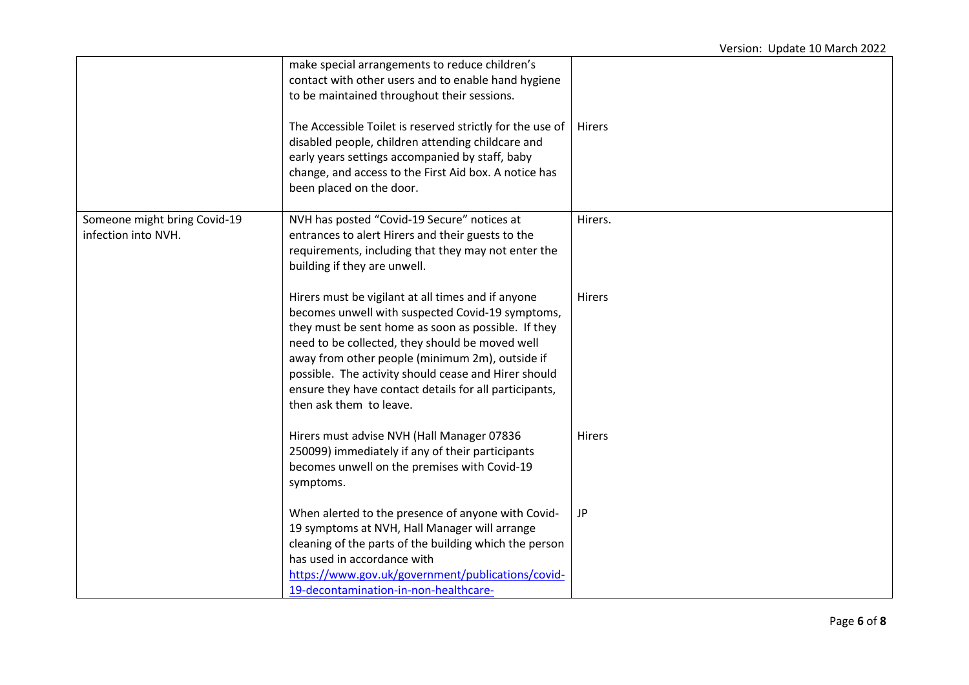|                                                     | make special arrangements to reduce children's<br>contact with other users and to enable hand hygiene<br>to be maintained throughout their sessions.<br>The Accessible Toilet is reserved strictly for the use of<br>disabled people, children attending childcare and<br>early years settings accompanied by staff, baby<br>change, and access to the First Aid box. A notice has<br>been placed on the door.   | <b>Hirers</b> |
|-----------------------------------------------------|------------------------------------------------------------------------------------------------------------------------------------------------------------------------------------------------------------------------------------------------------------------------------------------------------------------------------------------------------------------------------------------------------------------|---------------|
| Someone might bring Covid-19<br>infection into NVH. | NVH has posted "Covid-19 Secure" notices at<br>entrances to alert Hirers and their guests to the<br>requirements, including that they may not enter the<br>building if they are unwell.                                                                                                                                                                                                                          | Hirers.       |
|                                                     | Hirers must be vigilant at all times and if anyone<br>becomes unwell with suspected Covid-19 symptoms,<br>they must be sent home as soon as possible. If they<br>need to be collected, they should be moved well<br>away from other people (minimum 2m), outside if<br>possible. The activity should cease and Hirer should<br>ensure they have contact details for all participants,<br>then ask them to leave. | <b>Hirers</b> |
|                                                     | Hirers must advise NVH (Hall Manager 07836<br>250099) immediately if any of their participants<br>becomes unwell on the premises with Covid-19<br>symptoms.                                                                                                                                                                                                                                                      | Hirers        |
|                                                     | When alerted to the presence of anyone with Covid-<br>19 symptoms at NVH, Hall Manager will arrange<br>cleaning of the parts of the building which the person<br>has used in accordance with<br>https://www.gov.uk/government/publications/covid-<br>19-decontamination-in-non-healthcare-                                                                                                                       | <b>JP</b>     |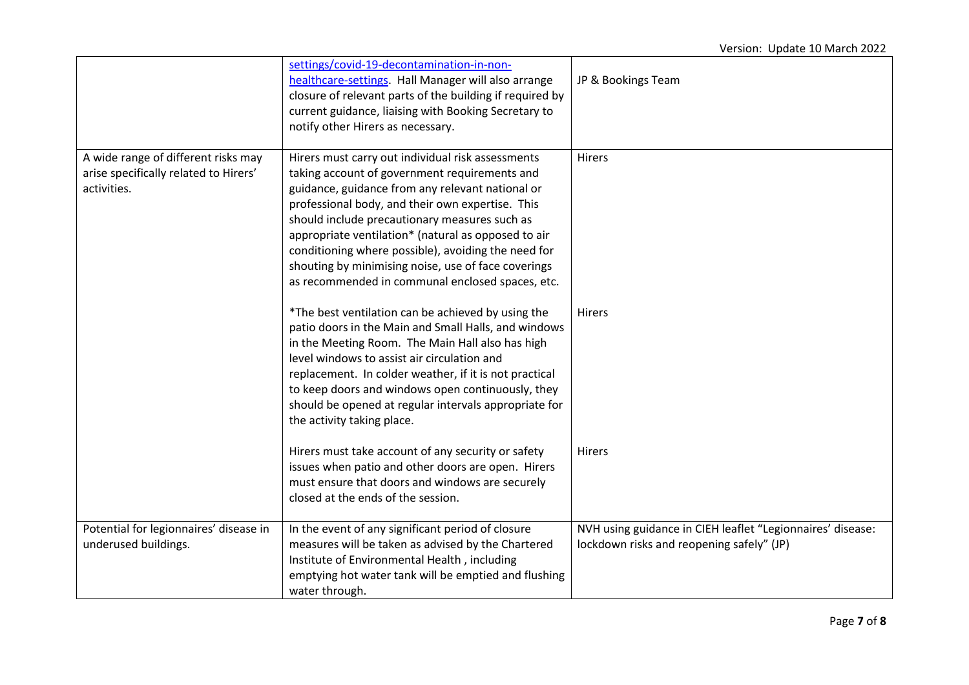|                                                                                             | settings/covid-19-decontamination-in-non-<br>healthcare-settings. Hall Manager will also arrange<br>closure of relevant parts of the building if required by<br>current guidance, liaising with Booking Secretary to<br>notify other Hirers as necessary.                                                                                                                                                                                                                            | JP & Bookings Team                                                                                      |
|---------------------------------------------------------------------------------------------|--------------------------------------------------------------------------------------------------------------------------------------------------------------------------------------------------------------------------------------------------------------------------------------------------------------------------------------------------------------------------------------------------------------------------------------------------------------------------------------|---------------------------------------------------------------------------------------------------------|
| A wide range of different risks may<br>arise specifically related to Hirers'<br>activities. | Hirers must carry out individual risk assessments<br>taking account of government requirements and<br>guidance, guidance from any relevant national or<br>professional body, and their own expertise. This<br>should include precautionary measures such as<br>appropriate ventilation* (natural as opposed to air<br>conditioning where possible), avoiding the need for<br>shouting by minimising noise, use of face coverings<br>as recommended in communal enclosed spaces, etc. | Hirers                                                                                                  |
|                                                                                             | *The best ventilation can be achieved by using the<br>patio doors in the Main and Small Halls, and windows<br>in the Meeting Room. The Main Hall also has high<br>level windows to assist air circulation and<br>replacement. In colder weather, if it is not practical<br>to keep doors and windows open continuously, they<br>should be opened at regular intervals appropriate for<br>the activity taking place.                                                                  | Hirers                                                                                                  |
|                                                                                             | Hirers must take account of any security or safety<br>issues when patio and other doors are open. Hirers<br>must ensure that doors and windows are securely<br>closed at the ends of the session.                                                                                                                                                                                                                                                                                    | Hirers                                                                                                  |
| Potential for legionnaires' disease in<br>underused buildings.                              | In the event of any significant period of closure<br>measures will be taken as advised by the Chartered<br>Institute of Environmental Health, including<br>emptying hot water tank will be emptied and flushing<br>water through.                                                                                                                                                                                                                                                    | NVH using guidance in CIEH leaflet "Legionnaires' disease:<br>lockdown risks and reopening safely" (JP) |